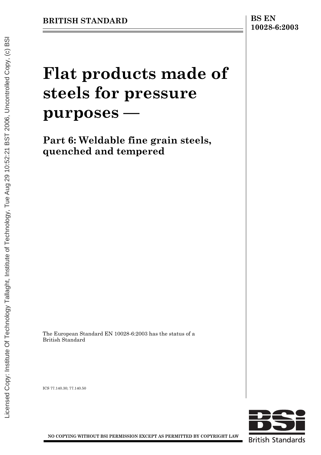# **Flat products made of steels for pressure purposes —**

**Part 6: Weldable fine grain steels, quenched and tempered**

The European Standard EN 10028-6:2003 has the status of a British Standard

ICS 77.140.30; 77.140.50



**NO COPYING WITHOUT BSI PERMISSION EXCEPT AS PERMITTED BY COPYRIGHT LAW**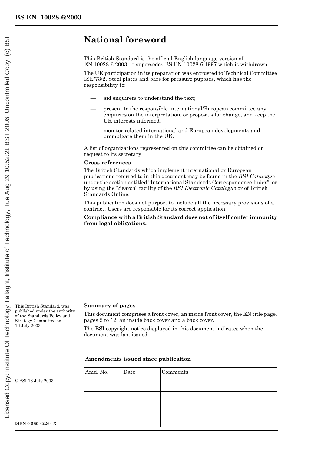## **National foreword**

This British Standard is the official English language version of EN 10028-6:2003. It supersedes BS EN 10028-6:1997 which is withdrawn.

The UK participation in its preparation was entrusted to Technical Committee ISE/73/2, Steel plates and bars for pressure puposes, which has the responsibility to:

- aid enquirers to understand the text;
- present to the responsible international/European committee any enquiries on the interpretation, or proposals for change, and keep the UK interests informed;
- monitor related international and European developments and promulgate them in the UK.

A list of organizations represented on this committee can be obtained on request to its secretary.

#### **Cross-references**

The British Standards which implement international or European publications referred to in this document may be found in the *BSI Catalogue* under the section entitled "International Standards Correspondence Index", or by using the "Search" facility of the *BSI Electronic Catalogue* or of British Standards Online.

This publication does not purport to include all the necessary provisions of a contract. Users are responsible for its correct application.

**Compliance with a British Standard does not of itself confer immunity from legal obligations.**

This British Standard, was published under the authority of the Standards Policy and Strategy Committee on 16 July 2003

#### **Summary of pages**

This document comprises a front cover, an inside front cover, the EN title page, pages 2 to 12, an inside back cover and a back cover.

The BSI copyright notice displayed in this document indicates when the document was last issued.

#### **Amendments issued since publication**

| Amd. No. | Date | Comments |
|----------|------|----------|
|          |      |          |
|          |      |          |
|          |      |          |
|          |      |          |

© BSI 16 July 2003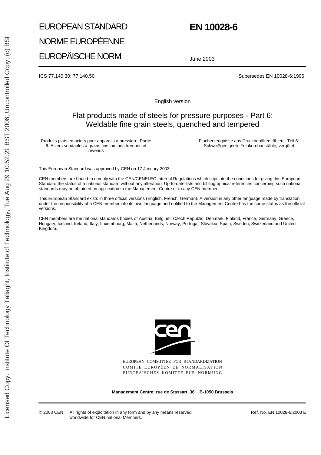# EUROPEAN STANDARD NORME EUROPÉENNE EUROPÄISCHE NORM

# **EN 10028-6**

June 2003

ICS 77.140.30; 77.140.50 Supersedes EN 10028-6:1996

English version

#### Flat products made of steels for pressure purposes - Part 6: Weldable fine grain steels, quenched and tempered

Produits plats en aciers pour appareils à pression - Partie 6: Aciers soudables à grains fins laminés trempés et revenus

Flacherzeugnisse aus Druckbehälterstählen - Teil 6: Schweißgeeignete Feinkornbaustähle, vergütet

This European Standard was approved by CEN on 17 January 2003.

CEN members are bound to comply with the CEN/CENELEC Internal Regulations which stipulate the conditions for giving this European Standard the status of a national standard without any alteration. Up-to-date lists and bibliographical references concerning such national standards may be obtained on application to the Management Centre or to any CEN member.

This European Standard exists in three official versions (English, French, German). A version in any other language made by translation under the responsibility of a CEN member into its own language and notified to the Management Centre has the same status as the official versions.

CEN members are the national standards bodies of Austria, Belgium, Czech Republic, Denmark, Finland, France, Germany, Greece, Hungary, Iceland, Ireland, Italy, Luxembourg, Malta, Netherlands, Norway, Portugal, Slovakia, Spain, Sweden, Switzerland and United Kingdom.



EUROPEAN COMMITTEE FOR STANDARDIZATION COMITÉ EUROPÉEN DE NORMALISATION EUROPÄISCHES KOMITEE FÜR NORMUNG

**Management Centre: rue de Stassart, 36 B-1050 Brussels**

© 2003 CEN All rights of exploitation in any form and by any means reserved worldwide for CEN national Members.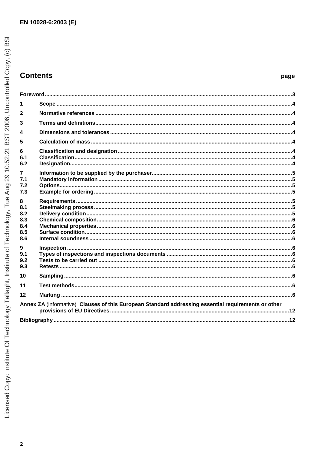## **Contents**

#### page

| 1               |                                                                                                     |  |
|-----------------|-----------------------------------------------------------------------------------------------------|--|
| $\mathbf{2}$    |                                                                                                     |  |
| 3               |                                                                                                     |  |
| 4               |                                                                                                     |  |
| 5               |                                                                                                     |  |
| 6<br>6.1<br>6.2 |                                                                                                     |  |
| 7               |                                                                                                     |  |
| 7.1<br>7.2      |                                                                                                     |  |
| 7.3             |                                                                                                     |  |
| 8<br>8.1        |                                                                                                     |  |
| 8.2<br>8.3      |                                                                                                     |  |
| 8.4             |                                                                                                     |  |
| 8.5<br>8.6      |                                                                                                     |  |
| 9<br>9.1<br>9.2 |                                                                                                     |  |
| 9.3             |                                                                                                     |  |
| 10              |                                                                                                     |  |
| 11              |                                                                                                     |  |
| 12              |                                                                                                     |  |
|                 | Annex ZA (informative) Clauses of this European Standard addressing essential requirements or other |  |
|                 |                                                                                                     |  |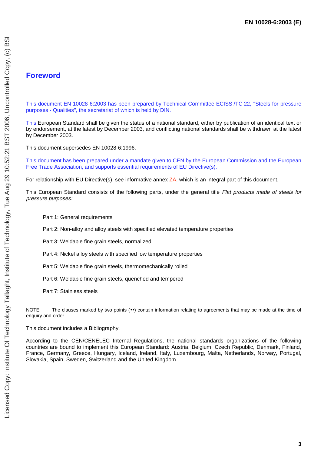#### **Foreword**

This document EN 10028-6:2003 has been prepared by Technical Committee ECISS /TC 22, "Steels for pressure purposes - Qualities", the secretariat of which is held by DIN.

This European Standard shall be given the status of a national standard, either by publication of an identical text or by endorsement, at the latest by December 2003, and conflicting national standards shall be withdrawn at the latest by December 2003.

This document supersedes EN 10028-6:1996.

This document has been prepared under a mandate given to CEN by the European Commission and the European Free Trade Association, and supports essential requirements of EU Directive(s).

For relationship with EU Directive(s), see informative annex ZA, which is an integral part of this document.

This European Standard consists of the following parts, under the general title Flat products made of steels for pressure purposes:

Part 1: General requirements

Part 2: Non-alloy and alloy steels with specified elevated temperature properties

- Part 3: Weldable fine grain steels, normalized
- Part 4: Nickel alloy steels with specified low temperature properties
- Part 5: Weldable fine grain steels, thermomechanically rolled
- Part 6: Weldable fine grain steels, quenched and tempered
- Part 7: Stainless steels

NOTE The clauses marked by two points (••) contain information relating to agreements that may be made at the time of enquiry and order.

This document includes a Bibliography.

According to the CEN/CENELEC Internal Regulations, the national standards organizations of the following countries are bound to implement this European Standard: Austria, Belgium, Czech Republic, Denmark, Finland, France, Germany, Greece, Hungary, Iceland, Ireland, Italy, Luxembourg, Malta, Netherlands, Norway, Portugal, Slovakia, Spain, Sweden, Switzerland and the United Kingdom.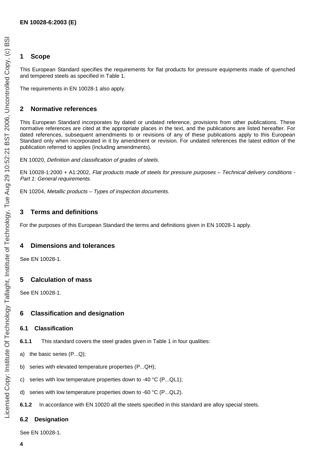#### **1 Scope**

This European Standard specifies the requirements for flat products for pressure equipments made of quenched and tempered steels as specified in Table 1.

The requirements in EN 10028-1 also apply.

#### **2 Normative references**

This European Standard incorporates by dated or undated reference, provisions from other publications. These normative references are cited at the appropriate places in the text, and the publications are listed hereafter. For dated references, subsequent amendments to or revisions of any of these publications apply to this European Standard only when incorporated in it by amendment or revision. For undated references the latest edition of the publication referred to applies (including amendments).

EN 10020, Definition and classification of grades of steels.

EN 10028-1:2000 + A1:2002, Flat products made of steels for pressure purposes – Technical delivery conditions - Part 1: General requirements.

EN 10204, Metallic products – Types of inspection documents.

#### **3 Terms and definitions**

For the purposes of this European Standard the terms and definitions given in EN 10028-1 apply.

#### **4 Dimensions and tolerances**

See EN 10028-1.

#### **5 Calculation of mass**

See EN 10028-1.

#### **6 Classification and designation**

#### **6.1 Classification**

**6.1.1** This standard covers the steel grades given in Table 1 in four qualities:

- a) the basic series (P...Q);
- b) series with elevated temperature properties (P...QH);
- c) series with low temperature properties down to -40 °C (P...QL1);
- d) series with low temperature properties down to -60 °C (P...QL2).
- **6.1.2** In accordance with EN 10020 all the steels specified in this standard are alloy special steels.

#### **6.2 Designation**

See EN 10028-1.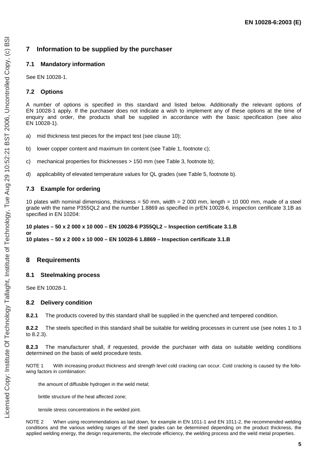#### **7 Information to be supplied by the purchaser**

#### **7.1 Mandatory information**

See EN 10028-1.

#### **7.2 Options**

A number of options is specified in this standard and listed below. Additionally the relevant options of EN 10028-1 apply. If the purchaser does not indicate a wish to implement any of these options at the time of enquiry and order, the products shall be supplied in accordance with the basic specification (see also EN 10028-1).

- a) mid thickness test pieces for the impact test (see clause 10);
- b) lower copper content and maximum tin content (see Table 1, footnote c);
- c) mechanical properties for thicknesses > 150 mm (see Table 3, footnote b);
- d) applicability of elevated temperature values for QL grades (see Table 5, footnote b).

#### **7.3 Example for ordering**

10 plates with nominal dimensions, thickness = 50 mm, width =  $2\,000$  mm, length = 10 000 mm, made of a steel grade with the name P355QL2 and the number 1.8869 as specified in prEN 10028-6, inspection certificate 3.1B as specified in EN 10204:

#### **10 plates – 50 x 2 000 x 10 000 – EN 10028-6 P355QL2 – Inspection certificate 3.1.B**

**10 plates – 50 x 2 000 x 10 000 – EN 10028-6 1.8869 – Inspection certificate 3.1.B**

#### **8 Requirements**

#### **8.1 Steelmaking process**

See EN 10028-1.

#### **8.2 Delivery condition**

**8.2.1** The products covered by this standard shall be supplied in the quenched and tempered condition.

**8.2.2** The steels specified in this standard shall be suitable for welding processes in current use (see notes 1 to 3 to 8.2.3).

**8.2.3** The manufacturer shall, if requested, provide the purchaser with data on suitable welding conditions determined on the basis of weld procedure tests.

NOTE 1 With increasing product thickness and strength level cold cracking can occur. Cold cracking is caused by the following factors in combination:

- the amount of diffusible hydrogen in the weld metal;
- brittle structure of the heat affected zone;
- tensile stress concentrations in the welded joint.

NOTE 2 When using recommendations as laid down, for example in EN 1011-1 and EN 1011-2, the recommended welding conditions and the various welding ranges of the steel grades can be determined depending on the product thickness, the applied welding energy, the design requirements, the electrode efficiency, the welding process and the weld metal properties.

**or**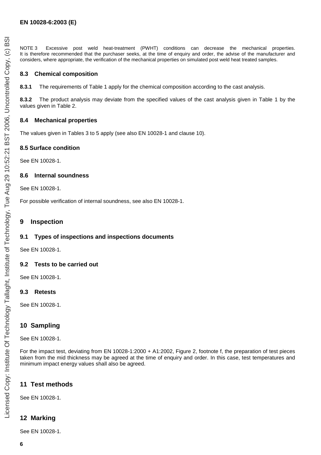NOTE 3 Excessive post weld heat-treatment (PWHT) conditions can decrease the mechanical properties. It is therefore recommended that the purchaser seeks, at the time of enquiry and order, the advise of the manufacturer and considers, where appropriate, the verification of the mechanical properties on simulated post weld heat treated samples.

#### **8.3 Chemical composition**

**8.3.1** The requirements of Table 1 apply for the chemical composition according to the cast analysis.

**8.3.2** The product analysis may deviate from the specified values of the cast analysis given in Table 1 by the values given in Table 2.

#### **8.4 Mechanical properties**

The values given in Tables 3 to 5 apply (see also EN 10028-1 and clause 10).

#### **8.5 Surface condition**

See EN 10028-1.

#### **8.6 Internal soundness**

See EN 10028-1.

For possible verification of internal soundness, see also EN 10028-1.

#### **9 Inspection**

#### **9.1 Types of inspections and inspections documents**

See EN 10028-1.

#### **9.2 Tests to be carried out**

See EN 10028-1.

#### **9.3 Retests**

See EN 10028-1.

#### **10 Sampling**

See EN 10028-1.

For the impact test, deviating from EN 10028-1:2000 + A1:2002, Figure 2, footnote f, the preparation of test pieces taken from the mid thickness may be agreed at the time of enquiry and order. In this case, test temperatures and minimum impact energy values shall also be agreed.

#### **11 Test methods**

See EN 10028-1.

#### **12 Marking**

See EN 10028-1.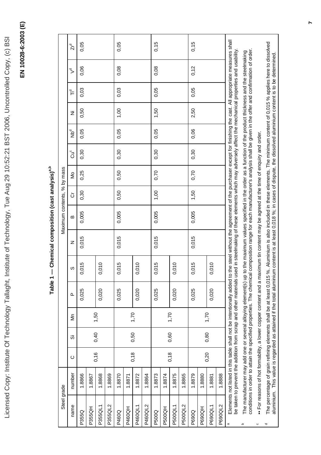Licensed Copy: Institute Of Technology Tallaght, Institute of Technology, Tue Aug 29 10:52:21 BST 2006, Uncontrolled Copy, (c) BSI Licensed Copy: Institute Of Technology Tallaght, Institute of Technology, Tue Aug 29 10:52:21 BST 2006, Uncontrolled Copy, (c) BSI

# EN 10028-6:2003 (E) **EN 10028-6:2003 (E)**

|                |                                                                                                                                                                                                                                                                                                                                                          |         |      |      | u<br>Day |       |                                                                                                          |                             |                 |      |      |         |      |      |      |       |
|----------------|----------------------------------------------------------------------------------------------------------------------------------------------------------------------------------------------------------------------------------------------------------------------------------------------------------------------------------------------------------|---------|------|------|----------|-------|----------------------------------------------------------------------------------------------------------|-----------------------------|-----------------|------|------|---------|------|------|------|-------|
| Steel grade    |                                                                                                                                                                                                                                                                                                                                                          |         |      |      |          |       |                                                                                                          | Maximum contents, % by mass |                 |      |      |         |      |      |      |       |
| name           | number                                                                                                                                                                                                                                                                                                                                                   | $\circ$ | ö,   | ś    | $\Omega$ | S     | Z                                                                                                        | മ                           | ن               | å    | ้วั  | pu<br>Z | ż    | ᢪ    | ु    | $Z^d$ |
| P355Q          | 1.8866                                                                                                                                                                                                                                                                                                                                                   |         |      |      | 0,025    | 0,015 | 0,015                                                                                                    | 0,005                       | 0,30            | 0,25 | 0,30 | 0,05    | 0,50 | 0,03 | 0,06 | 0,05  |
| P355QH         | 1.8867                                                                                                                                                                                                                                                                                                                                                   |         |      |      |          |       |                                                                                                          |                             |                 |      |      |         |      |      |      |       |
| P355QL1        | 1.8868                                                                                                                                                                                                                                                                                                                                                   | 0,16    | 0,40 | 1,50 | 0,020    | 0,010 |                                                                                                          |                             |                 |      |      |         |      |      |      |       |
| P355QL2        | 1.8869                                                                                                                                                                                                                                                                                                                                                   |         |      |      |          |       |                                                                                                          |                             |                 |      |      |         |      |      |      |       |
| P460Q          | 1.8870                                                                                                                                                                                                                                                                                                                                                   |         |      |      | 0,025    | 0,015 | 0,015                                                                                                    | 0,005                       | 0,50            | 0,50 | 0,30 | 0,05    | 1,00 | 0,03 | 0,08 | 0,05  |
| <b>P460QH</b>  | 1.8871                                                                                                                                                                                                                                                                                                                                                   |         |      |      |          |       |                                                                                                          |                             |                 |      |      |         |      |      |      |       |
| P460QL1        | 1.8872                                                                                                                                                                                                                                                                                                                                                   | 0,18    | 0,50 | 1,70 | 0,020    | 0,010 |                                                                                                          |                             |                 |      |      |         |      |      |      |       |
| P460QL2        | 1.8864                                                                                                                                                                                                                                                                                                                                                   |         |      |      |          |       |                                                                                                          |                             |                 |      |      |         |      |      |      |       |
| <b>P500Q</b>   | 1.8873                                                                                                                                                                                                                                                                                                                                                   |         |      |      | 0,025    | 0,015 | 0,015                                                                                                    | 0,005                       | 00 <sub>1</sub> | 0,70 | 0,30 | 0,05    | 1,50 | 0,05 | 0,08 | 0,15  |
| <b>P500QH</b>  | 1.8874                                                                                                                                                                                                                                                                                                                                                   |         |      |      |          |       |                                                                                                          |                             |                 |      |      |         |      |      |      |       |
| <b>P500QL1</b> | 1.8875                                                                                                                                                                                                                                                                                                                                                   | 0,18    | 0,60 | 1,70 | 0,020    | 0,010 |                                                                                                          |                             |                 |      |      |         |      |      |      |       |
| P500QL2        | 1.8865                                                                                                                                                                                                                                                                                                                                                   |         |      |      |          |       |                                                                                                          |                             |                 |      |      |         |      |      |      |       |
| <b>P690Q</b>   | 1.8879                                                                                                                                                                                                                                                                                                                                                   |         |      |      | 0,025    | 0,015 | 0,015                                                                                                    | 0,005                       | 1,50            | 0,70 | 0,30 | 0,06    | 2,50 | 0,05 | 0,12 | 0,15  |
| <b>P690QH</b>  | 1.8880                                                                                                                                                                                                                                                                                                                                                   |         |      |      |          |       |                                                                                                          |                             |                 |      |      |         |      |      |      |       |
| P690QL1        | 1.8881                                                                                                                                                                                                                                                                                                                                                   | 0,20    | 0,80 | 1,70 | 0,020    | 0,010 |                                                                                                          |                             |                 |      |      |         |      |      |      |       |
| P690QL2        | 1.8888                                                                                                                                                                                                                                                                                                                                                   |         |      |      |          |       |                                                                                                          |                             |                 |      |      |         |      |      |      |       |
| ω              | Elements not listed in this table shall not be intentionally added to the steel without the agreement of the purchaser except for finishing the cast. All appropriate measures shall<br>be taken to prevent the addition from scrap and other materials                                                                                                  |         |      |      |          |       | used in steelmaking of these elements which may adversely affect the mechanical properties and usability |                             |                 |      |      |         |      |      |      |       |
| م              | conditions in order to attain the specified properties. The chemical composition range for each manufacturer's analysis shall be given in the offer and confirmation of order.<br>The manufacturer may add one or several alloying element(s) up to the maximum values specified in the order as a function of the product thickness and the steelmaking |         |      |      |          |       |                                                                                                          |                             |                 |      |      |         |      |      |      |       |
| $\circ$        | •• For reasons of hot formability, a lower copper content and a maximum tin content may be agreed at the time of enquiry and order.                                                                                                                                                                                                                      |         |      |      |          |       |                                                                                                          |                             |                 |      |      |         |      |      |      |       |

Table 1 — Chemical composition (cast analysis)<sup>a,b</sup> **Table 1 — Chemical composition (cast analysis)a,b**

ত

 The percentage of grain refining elements shall be at least 0,015 %. Aluminium is also included in these elements. The minimum content of 0,015 % applies here to dissolved aluminium. This value is regarded as attained if the total aluminium content is at least 0,018 %; in cases of dispute, the dissolved aluminium content is to be determined.

The percentage of grain refining elements shall be at least 0,015 %. Aluminium is also included in these elements. The minimum content of 0,015 % applies here to dissolved<br>aluminium. This value is regarded as attained if t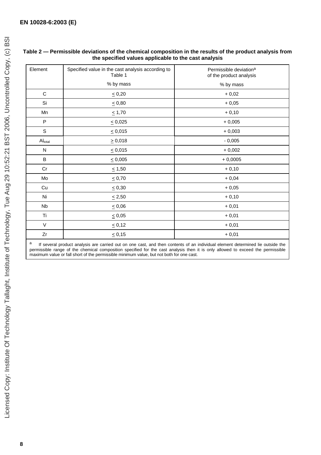| Element      | Specified value in the cast analysis according to<br>Table 1 | Permissible deviation <sup>a</sup><br>of the product analysis |  |  |  |  |
|--------------|--------------------------------------------------------------|---------------------------------------------------------------|--|--|--|--|
|              | % by mass                                                    | % by mass                                                     |  |  |  |  |
| $\mathsf{C}$ | $\leq 0,20$                                                  | $+0,02$                                                       |  |  |  |  |
| Si           | $\leq 0,80$                                                  | $+0,05$                                                       |  |  |  |  |
| Mn           | $\leq 1,70$                                                  | $+0,10$                                                       |  |  |  |  |
| $\mathsf{P}$ | $\leq 0,025$                                                 | $+0,005$                                                      |  |  |  |  |
| S            | $\le 0,015$                                                  | $+0,003$                                                      |  |  |  |  |
| Altotal      | $\ge 0,018$                                                  | $-0,005$                                                      |  |  |  |  |
| ${\sf N}$    | $\le 0,015$                                                  | $+0,002$                                                      |  |  |  |  |
| $\sf B$      | $\leq 0,005$                                                 | $+0,0005$                                                     |  |  |  |  |
| Cr           | $\leq 1,50$                                                  | $+0,10$                                                       |  |  |  |  |
| Mo           | $\leq 0.70$                                                  | $+0,04$                                                       |  |  |  |  |
| Cu           | $\leq 0,30$                                                  | $+0,05$                                                       |  |  |  |  |
| Ni           | $\leq 2,50$                                                  | $+0,10$                                                       |  |  |  |  |
| Nb           | $\leq 0.06$                                                  | $+0,01$                                                       |  |  |  |  |
| Ti           | $\leq 0.05$                                                  | $+0,01$                                                       |  |  |  |  |
| $\mathsf{V}$ | $\leq 0,12$                                                  | $+0,01$                                                       |  |  |  |  |
| Zr           | $\leq 0,15$                                                  | $+0,01$                                                       |  |  |  |  |

#### **Table 2 — Permissible deviations of the chemical composition in the results of the product analysis from the specified values applicable to the cast analysis**

<sup>a</sup> If several product analysis are carried out on one cast, and then contents of an individual element determined lie outside the permissible range of the chemical composition specified for the cast analysis then it is only allowed to exceed the permissible maximum value or fall short of the permissible minimum value, but not both for one cast.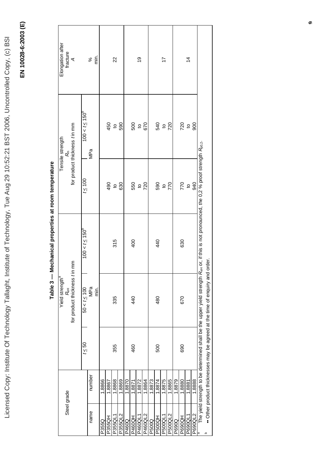Licensed Copy: Institute Of Technology Tallaght, Institute of Technology, Tue Aug 29 10:52:21 BST 2006, Uncontrolled Copy, (c) BSI Licensed Copy: Institute Of Technology Tallaght, Institute of Technology, Tue Aug 29 10:52:21 BST 2006, Uncontrolled Copy, (c) BSI

# EN 10028-6:2003 (E) **EN 10028-6:2003 (E)**

| Elongation after<br>fracture<br>$\prec$                                     |                       | $\frac{8}{2}$ |        |        | $\overline{2}$ |         |        |        | $\frac{0}{2}$           |         |        |               | $\overline{1}$          |         |        |               | $\frac{4}{4}$   |         |                                                                                                                                                            |                                                                             |  |
|-----------------------------------------------------------------------------|-----------------------|---------------|--------|--------|----------------|---------|--------|--------|-------------------------|---------|--------|---------------|-------------------------|---------|--------|---------------|-----------------|---------|------------------------------------------------------------------------------------------------------------------------------------------------------------|-----------------------------------------------------------------------------|--|
| for product thickness tin mm<br>Tensile strength<br>$R_{m}$                 | $100 < t \le 150^{6}$ | MPa           |        | 450    | $\overline{c}$ | 590     |        |        | <b>900</b>              | 670     |        | 540           | $\overline{c}$          | 720     |        |               | $\frac{20}{20}$ |         |                                                                                                                                                            |                                                                             |  |
|                                                                             | $t \leq 100$          |               |        | 490    | $\mathbf{S}$   | 630     |        | 550    | $\overline{\mathbf{c}}$ | 720     |        | 590           | $\overline{\mathbf{c}}$ | 770     |        | <b>DLL</b>    |                 | 940     |                                                                                                                                                            |                                                                             |  |
|                                                                             | $100 < t \le 150^{6}$ |               |        |        | 315            |         |        | 400    |                         |         |        | 440           |                         |         |        | 630           |                 |         | The yield strength to be determined shall be the upper yield strength $R_{\rm eH}$ or, if this is not pronounced, the 0,2 % proof strength $R_{\rm p0,2.}$ |                                                                             |  |
| for product thickness tin mm<br>Yield strength <sup>a</sup><br>$R_{\rm eH}$ | 50 < t < 100          | MPa<br>min.   |        |        | 335            |         |        | 440    |                         |         |        | 480           |                         |         |        | 670           |                 |         |                                                                                                                                                            | • Other product thicknesses may be agreed at the time of enquiry and order. |  |
|                                                                             | 7 < 50                |               |        |        | 355            |         |        | 460    |                         |         |        | 500           |                         |         |        | 690           |                 |         |                                                                                                                                                            |                                                                             |  |
| Steel grade                                                                 |                       | number        | 1.8866 | 1.8867 | 1.8868         | 1.8869  | 1.8870 | 1.8871 | 1.8872                  | 1.8864  | 1.8873 | 1.8874        | 1.8875                  | 1.8865  | 1.8879 | 1.8880        | 1.8881          | 1.8888  |                                                                                                                                                            |                                                                             |  |
|                                                                             |                       | name          | P355Q  | P355QH | P355QL1        | P355QL2 | P460Q  | P460QH | P460QL1                 | P460QL2 | P500Q  | <b>P500QH</b> | <b>P500QL1</b>          | P500QL2 | P690Q  | <b>P690QH</b> | P690QL1         | P690QL2 |                                                                                                                                                            |                                                                             |  |

# Table 3 - Mechanical properties at room temperature **Table 3 — Mechanical properties at room temperature**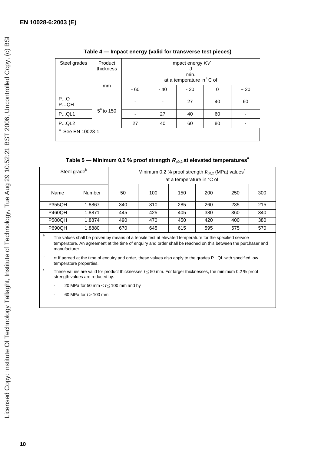| Steel grades         | Product<br>thickness |       |       | Impact energy KV<br>min.<br>at a temperature in <sup>0</sup> C of |    |       |
|----------------------|----------------------|-------|-------|-------------------------------------------------------------------|----|-------|
|                      | mm                   | $-60$ | $-40$ | $-20$                                                             | 0  | $+20$ |
| PQ<br>PQH            |                      |       |       | 27                                                                | 40 | 60    |
| PQL1                 | $5^{\circ}$ to 150   |       | 27    | 40                                                                | 60 |       |
| PQL2                 |                      | 27    | 40    | 60                                                                | 80 |       |
| а<br>See EN 10028-1. |                      |       |       |                                                                   |    |       |

#### **Table 4 — Impact energy (valid for transverse test pieces)**

Table 5 — Minimum 0,2 % proof strength  $R_{p0,2}$  at elevated temperatures<sup>a</sup>

| Steel grade <sup>b</sup> |        | Minimum 0,2 % proof strength $R_{p0.2}$ (MPa) values <sup>c</sup><br>at a temperature in °C of |     |     |     |     |     |  |  |  |  |  |
|--------------------------|--------|------------------------------------------------------------------------------------------------|-----|-----|-----|-----|-----|--|--|--|--|--|
| Name                     | Number | 50                                                                                             | 100 | 150 | 200 | 250 | 300 |  |  |  |  |  |
| <b>P355QH</b>            | 1.8867 | 340                                                                                            | 310 | 285 | 260 | 235 | 215 |  |  |  |  |  |
| <b>P460QH</b>            | 1.8871 | 445                                                                                            | 425 | 405 | 380 | 360 | 340 |  |  |  |  |  |
| <b>P500QH</b>            | 1.8874 | 490                                                                                            | 470 | 450 | 420 | 400 | 380 |  |  |  |  |  |
| <b>P690QH</b>            | 1.8880 | 670                                                                                            | 645 | 615 | 595 | 575 | 570 |  |  |  |  |  |

<sup>a</sup> The values shall be proven by means of a tensile test at elevated temperature for the specified service temperature. An agreement at the time of enquiry and order shall be reached on this between the purchaser and manufacturer.

**b** •• If agreed at the time of enquiry and order, these values also apply to the grades P...QL with specified low temperature properties.

<sup>c</sup> These values are valid for product thicknesses  $t \le 50$  mm. For larger thicknesses, the minimum 0,2 % proof strength values are reduced by:

20 MPa for 50 mm <  $t \le 100$  mm and by

60 MPa for  $t > 100$  mm.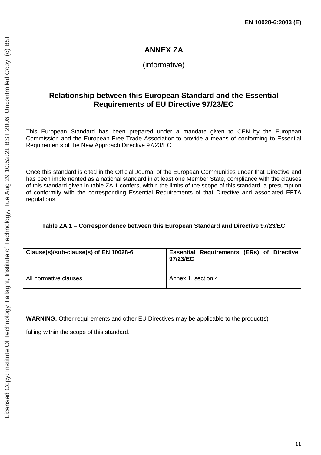#### **ANNEX ZA**

(informative)

#### **Relationship between this European Standard and the Essential Requirements of EU Directive 97/23/EC**

This European Standard has been prepared under a mandate given to CEN by the European Commission and the European Free Trade Association to provide a means of conforming to Essential Requirements of the New Approach Directive 97/23/EC.

Once this standard is cited in the Official Journal of the European Communities under that Directive and has been implemented as a national standard in at least one Member State, compliance with the clauses of this standard given in table ZA.1 confers, within the limits of the scope of this standard, a presumption of conformity with the corresponding Essential Requirements of that Directive and associated EFTA regulations.

#### **Table ZA.1 – Correspondence between this European Standard and Directive 97/23/EC**

| Clause(s)/sub-clause(s) of EN 10028-6 | <b>Essential Requirements (ERs) of Directive</b><br>97/23/EC |
|---------------------------------------|--------------------------------------------------------------|
| All normative clauses                 | Annex 1, section 4                                           |

**WARNING:** Other requirements and other EU Directives may be applicable to the product(s)

falling within the scope of this standard.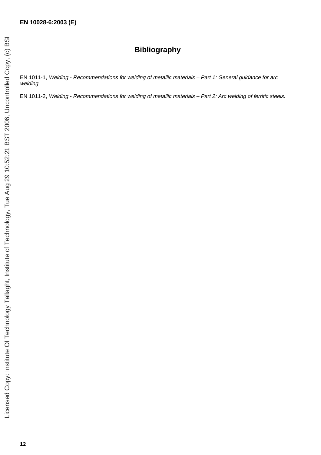## **Bibliography**

EN 1011-1, Welding - Recommendations for welding of metallic materials – Part 1: General guidance for arc welding.

EN 1011-2, Welding - Recommendations for welding of metallic materials – Part 2: Arc welding of ferritic steels.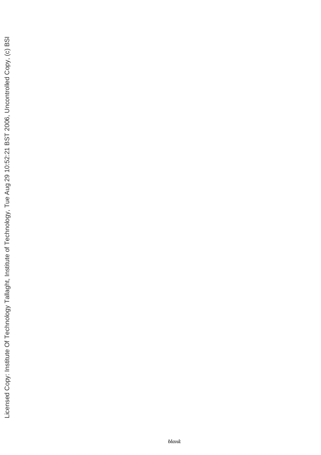Licensed Copy: Institute Of Technology Tallaght, Institute of Technology, Tue Aug 29 10:52:21 BST 2006, Uncontrolled Copy, (c) BSI Licensed Copy: Institute Of Technology Tallaght, Institute of Technology, Tue Aug 29 10:52:21 BST 2006, Uncontrolled Copy, (c) BSI